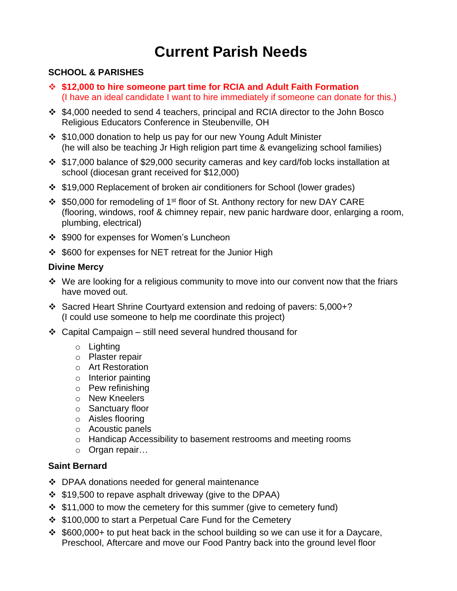## **Current Parish Needs**

#### **SCHOOL & PARISHES**

- ❖ **\$12,000 to hire someone part time for RCIA and Adult Faith Formation** (I have an ideal candidate I want to hire immediately if someone can donate for this.)
- ❖ \$4,000 needed to send 4 teachers, principal and RCIA director to the John Bosco Religious Educators Conference in Steubenville, OH
- ❖ \$10,000 donation to help us pay for our new Young Adult Minister (he will also be teaching Jr High religion part time & evangelizing school families)
- ❖ \$17,000 balance of \$29,000 security cameras and key card/fob locks installation at school (diocesan grant received for \$12,000)
- ❖ \$19,000 Replacement of broken air conditioners for School (lower grades)
- ❖ \$50,000 for remodeling of 1st floor of St. Anthony rectory for new DAY CARE (flooring, windows, roof & chimney repair, new panic hardware door, enlarging a room, plumbing, electrical)
- ❖ \$900 for expenses for Women's Luncheon
- ❖ \$600 for expenses for NET retreat for the Junior High

#### **Divine Mercy**

- ❖ We are looking for a religious community to move into our convent now that the friars have moved out.
- ❖ Sacred Heart Shrine Courtyard extension and redoing of pavers: 5,000+? (I could use someone to help me coordinate this project)
- ❖ Capital Campaign still need several hundred thousand for
	- o Lighting
	- o Plaster repair
	- o Art Restoration
	- o Interior painting
	- o Pew refinishing
	- o New Kneelers
	- o Sanctuary floor
	- o Aisles flooring
	- o Acoustic panels
	- o Handicap Accessibility to basement restrooms and meeting rooms
	- o Organ repair…

#### **Saint Bernard**

- ❖ DPAA donations needed for general maintenance
- ❖ \$19,500 to repave asphalt driveway (give to the DPAA)
- ❖ \$11,000 to mow the cemetery for this summer (give to cemetery fund)
- ❖ \$100,000 to start a Perpetual Care Fund for the Cemetery
- ❖ \$600,000+ to put heat back in the school building so we can use it for a Daycare, Preschool, Aftercare and move our Food Pantry back into the ground level floor